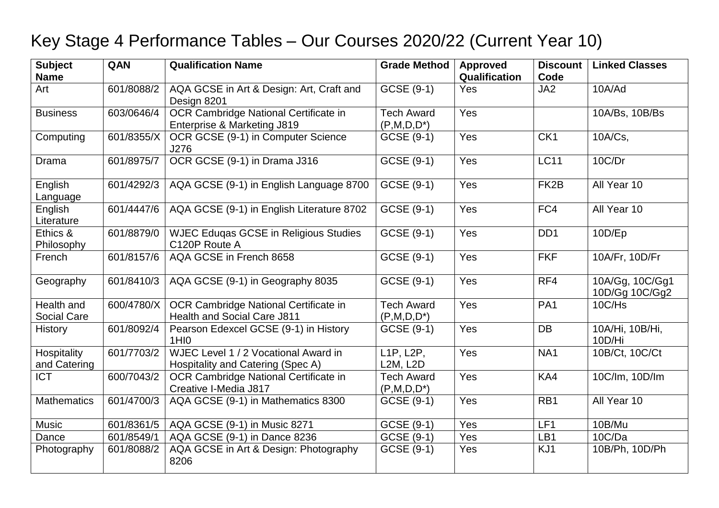## Key Stage 4 Performance Tables – Our Courses 2020/22 (Current Year 10)

| <b>Subject</b><br><b>Name</b> | QAN        | <b>Qualification Name</b>                                                   | <b>Grade Method</b>                             | <b>Approved</b><br>Qualification | <b>Discount</b><br>Code | <b>Linked Classes</b>             |
|-------------------------------|------------|-----------------------------------------------------------------------------|-------------------------------------------------|----------------------------------|-------------------------|-----------------------------------|
| Art                           | 601/8088/2 | AQA GCSE in Art & Design: Art, Craft and<br>Design 8201                     | GCSE (9-1)                                      | Yes                              | JA <sub>2</sub>         | 10A/Ad                            |
| <b>Business</b>               | 603/0646/4 | OCR Cambridge National Certificate in<br>Enterprise & Marketing J819        | <b>Tech Award</b><br>$(P,M,D,D^*)$              | Yes                              |                         | 10A/Bs, 10B/Bs                    |
| Computing                     | 601/8355/X | OCR GCSE (9-1) in Computer Science<br>J276                                  | GCSE (9-1)                                      | Yes                              | CK <sub>1</sub>         | 10A/Cs,                           |
| Drama                         | 601/8975/7 | OCR GCSE (9-1) in Drama J316                                                | GCSE (9-1)                                      | Yes                              | <b>LC11</b>             | 10C/Dr                            |
| English<br>Language           | 601/4292/3 | AQA GCSE (9-1) in English Language 8700                                     | GCSE (9-1)                                      | Yes                              | FK <sub>2</sub> B       | All Year 10                       |
| English<br>Literature         | 601/4447/6 | AQA GCSE (9-1) in English Literature 8702                                   | GCSE (9-1)                                      | Yes                              | FC4                     | All Year 10                       |
| Ethics &<br>Philosophy        | 601/8879/0 | <b>WJEC Eduqas GCSE in Religious Studies</b><br>C120P Route A               | $\overline{G}CSE(9-1)$                          | Yes                              | DD <sub>1</sub>         | 10D/Ep                            |
| French                        | 601/8157/6 | AQA GCSE in French 8658                                                     | GCSE (9-1)                                      | Yes                              | <b>FKF</b>              | 10A/Fr, 10D/Fr                    |
| Geography                     | 601/8410/3 | AQA GCSE (9-1) in Geography 8035                                            | GCSE (9-1)                                      | Yes                              | RF4                     | 10A/Gg, 10C/Gg1<br>10D/Gg 10C/Gg2 |
| Health and<br>Social Care     | 600/4780/X | OCR Cambridge National Certificate in<br><b>Health and Social Care J811</b> | <b>Tech Award</b><br>$(P,M,D,D^*)$              | Yes                              | PA <sub>1</sub>         | 10C/Hs                            |
| <b>History</b>                | 601/8092/4 | Pearson Edexcel GCSE (9-1) in History<br>1HI <sub>0</sub>                   | GCSE (9-1)                                      | Yes                              | <b>DB</b>               | 10A/Hi, 10B/Hi,<br>10D/Hi         |
| Hospitality<br>and Catering   | 601/7703/2 | WJEC Level 1 / 2 Vocational Award in<br>Hospitality and Catering (Spec A)   | L <sub>1</sub> P, L <sub>2</sub> P,<br>L2M, L2D | Yes                              | NA1                     | 10B/Ct, 10C/Ct                    |
| <b>ICT</b>                    | 600/7043/2 | OCR Cambridge National Certificate in<br>Creative I-Media J817              | <b>Tech Award</b><br>$(P,M,D,D^*)$              | Yes                              | KA4                     | 10C/lm, 10D/lm                    |
| <b>Mathematics</b>            | 601/4700/3 | AQA GCSE (9-1) in Mathematics 8300                                          | GCSE (9-1)                                      | Yes                              | RB1                     | All Year 10                       |
| Music                         | 601/8361/5 | AQA GCSE (9-1) in Music 8271                                                | $GCSE(9-1)$                                     | Yes                              | LF1                     | 10B/Mu                            |
| Dance                         | 601/8549/1 | AQA GCSE (9-1) in Dance 8236                                                | GCSE (9-1)                                      | Yes                              | LB1                     | 10C/Da                            |
| Photography                   | 601/8088/2 | AQA GCSE in Art & Design: Photography<br>8206                               | GCSE (9-1)                                      | Yes                              | KJ1                     | 10B/Ph, 10D/Ph                    |